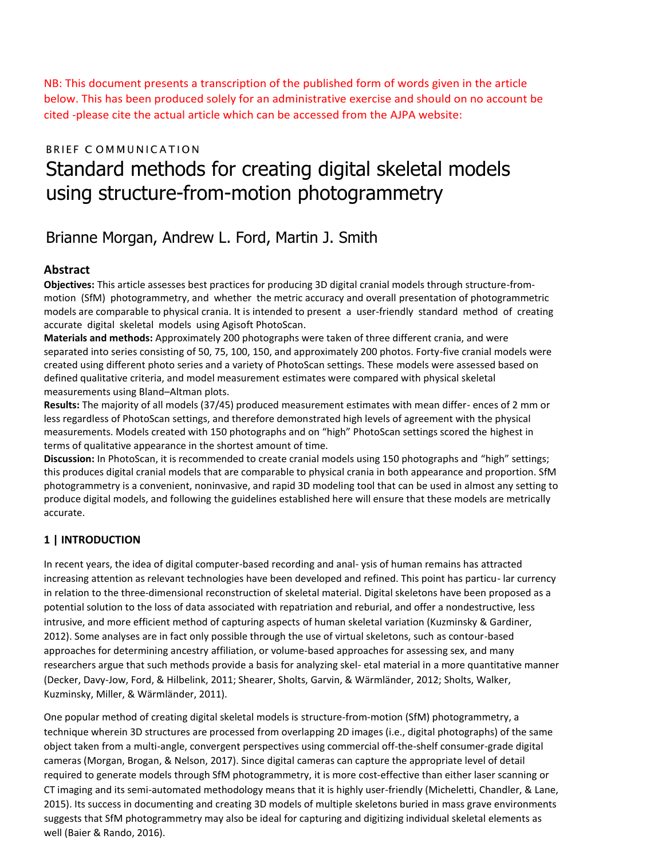NB: This document presents a transcription of the published form of words given in the article below. This has been produced solely for an administrative exercise and should on no account be cited -please cite the actual article which can be accessed from the AJPA website:

# BRIEF COMMUNICATION Standard methods for creating digital skeletal models using structure-from-motion photogrammetry

# Brianne Morgan, Andrew L. Ford, Martin J. Smith

### **Abstract**

**Objectives:** This article assesses best practices for producing 3D digital cranial models through structure-frommotion (SfM) photogrammetry, and whether the metric accuracy and overall presentation of photogrammetric models are comparable to physical crania. It is intended to present a user-friendly standard method of creating accurate digital skeletal models using Agisoft PhotoScan.

**Materials and methods:** Approximately 200 photographs were taken of three different crania, and were separated into series consisting of 50, 75, 100, 150, and approximately 200 photos. Forty-five cranial models were created using different photo series and a variety of PhotoScan settings. These models were assessed based on defined qualitative criteria, and model measurement estimates were compared with physical skeletal measurements using Bland–Altman plots.

**Results:** The majority of all models (37/45) produced measurement estimates with mean differ- ences of 2 mm or less regardless of PhotoScan settings, and therefore demonstrated high levels of agreement with the physical measurements. Models created with 150 photographs and on "high" PhotoScan settings scored the highest in terms of qualitative appearance in the shortest amount of time.

**Discussion:** In PhotoScan, it is recommended to create cranial models using 150 photographs and "high" settings; this produces digital cranial models that are comparable to physical crania in both appearance and proportion. SfM photogrammetry is a convenient, noninvasive, and rapid 3D modeling tool that can be used in almost any setting to produce digital models, and following the guidelines established here will ensure that these models are metrically accurate.

# **1 | INTRODUCTION**

In recent years, the idea of digital computer-based recording and anal- ysis of human remains has attracted increasing attention as relevant technologies have been developed and refined. This point has particu- lar currency in relation to the three-dimensional reconstruction of skeletal material. Digital skeletons have been proposed as a potential solution to the loss of data associated with repatriation and reburial, and offer a nondestructive, less intrusive, and more efficient method of capturing aspects of human skeletal variation (Kuzminsky & Gardiner, 2012). Some analyses are in fact only possible through the use of virtual skeletons, such as contour-based approaches for determining ancestry affiliation, or volume-based approaches for assessing sex, and many researchers argue that such methods provide a basis for analyzing skel- etal material in a more quantitative manner (Decker, Davy-Jow, Ford, & Hilbelink, 2011; Shearer, Sholts, Garvin, & Wärmländer, 2012; Sholts, Walker, Kuzminsky, Miller, & Wärmländer, 2011).

One popular method of creating digital skeletal models is structure-from-motion (SfM) photogrammetry, a technique wherein 3D structures are processed from overlapping 2D images (i.e., digital photographs) of the same object taken from a multi-angle, convergent perspectives using commercial off-the-shelf consumer-grade digital cameras (Morgan, Brogan, & Nelson, 2017). Since digital cameras can capture the appropriate level of detail required to generate models through SfM photogrammetry, it is more cost-effective than either laser scanning or CT imaging and its semi-automated methodology means that it is highly user-friendly (Micheletti, Chandler, & Lane, 2015). Its success in documenting and creating 3D models of multiple skeletons buried in mass grave environments suggests that SfM photogrammetry may also be ideal for capturing and digitizing individual skeletal elements as well (Baier & Rando, 2016).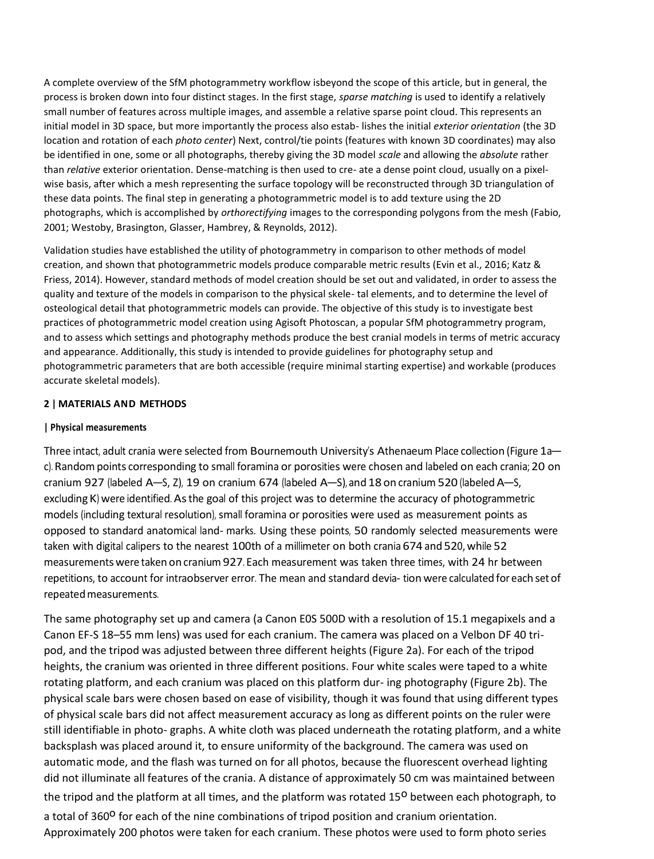A complete overview of the SfM photogrammetry workflow isbeyond the scope of this article, but in general, the process is broken down into four distinct stages. In the first stage, *sparse matching* is used to identify a relatively small number of features across multiple images, and assemble a relative sparse point cloud. This represents an initial model in 3D space, but more importantly the process also estab- lishes the initial *exterior orientation* (the 3D location and rotation of each *photo center*) Next, control/tie points (features with known 3D coordinates) may also be identified in one, some or all photographs, thereby giving the 3D model *scale* and allowing the *absolute* rather than *relative* exterior orientation. Dense-matching is then used to cre- ate a dense point cloud, usually on a pixelwise basis, after which a mesh representing the surface topology will be reconstructed through 3D triangulation of these data points. The final step in generating a photogrammetric model is to add texture using the 2D photographs, which is accomplished by *orthorectifying* images to the corresponding polygons from the mesh (Fabio, 2001; Westoby, Brasington, Glasser, Hambrey, & Reynolds, 2012).

Validation studies have established the utility of photogrammetry in comparison to other methods of model creation, and shown that photogrammetric models produce comparable metric results (Evin et al., 2016; Katz & Friess, 2014). However, standard methods of model creation should be set out and validated, in order to assess the quality and texture of the models in comparison to the physical skele- tal elements, and to determine the level of osteological detail that photogrammetric models can provide. The objective of this study is to investigate best practices of photogrammetric model creation using Agisoft Photoscan, a popular SfM photogrammetry program, and to assess which settings and photography methods produce the best cranial models in terms of metric accuracy and appearance. Additionally, this study is intended to provide guidelines for photography setup and photogrammetric parameters that are both accessible (require minimal starting expertise) and workable (produces accurate skeletal models).

#### **2 | MATERIALS AND METHODS**

#### **| Physical measurements**

Three intact, adult crania were selected from Bournemouth University's Athenaeum Place collection (Figure 1ac). Random points corresponding to small foramina or porosities were chosen and labeled on each crania; 20 on cranium 927 (labeled A–S, Z), 19 on cranium 674 (labeled A–S), and 18 on cranium 520 (labeledA–S, excluding K) were identified. As the goal of this project was to determine the accuracy of photogrammetric models (including textural resolution), small foramina or porosities were used as measurement points as opposed to standard anatomical land- marks. Using these points, 50 randomly selected measurements were taken with digital calipers to the nearest 100th of a millimeter on both crania 674 and 520, while 52 measurements were taken on cranium 927. Each measurement was taken three times, with 24 hr between repetitions, to account for intraobserver error. The mean and standard devia- tion were calculated for each set of repeated measurements.

The same photography set up and camera (a Canon E0S 500D with a resolution of 15.1 megapixels and a Canon EF-S 18–55 mm lens) was used for each cranium. The camera was placed on a Velbon DF 40 tripod, and the tripod was adjusted between three different heights (Figure 2a). For each of the tripod heights, the cranium was oriented in three different positions. Four white scales were taped to a white rotating platform, and each cranium was placed on this platform dur- ing photography (Figure 2b). The physical scale bars were chosen based on ease of visibility, though it was found that using different types of physical scale bars did not affect measurement accuracy as long as different points on the ruler were still identifiable in photo- graphs. A white cloth was placed underneath the rotating platform, and a white backsplash was placed around it, to ensure uniformity of the background. The camera was used on automatic mode, and the flash was turned on for all photos, because the fluorescent overhead lighting did not illuminate all features of the crania. A distance of approximately 50 cm was maintained between the tripod and the platform at all times, and the platform was rotated 15<sup>0</sup> between each photograph, to a total of 360<sup>o</sup> for each of the nine combinations of tripod position and cranium orientation. Approximately 200 photos were taken for each cranium. These photos were used to form photo series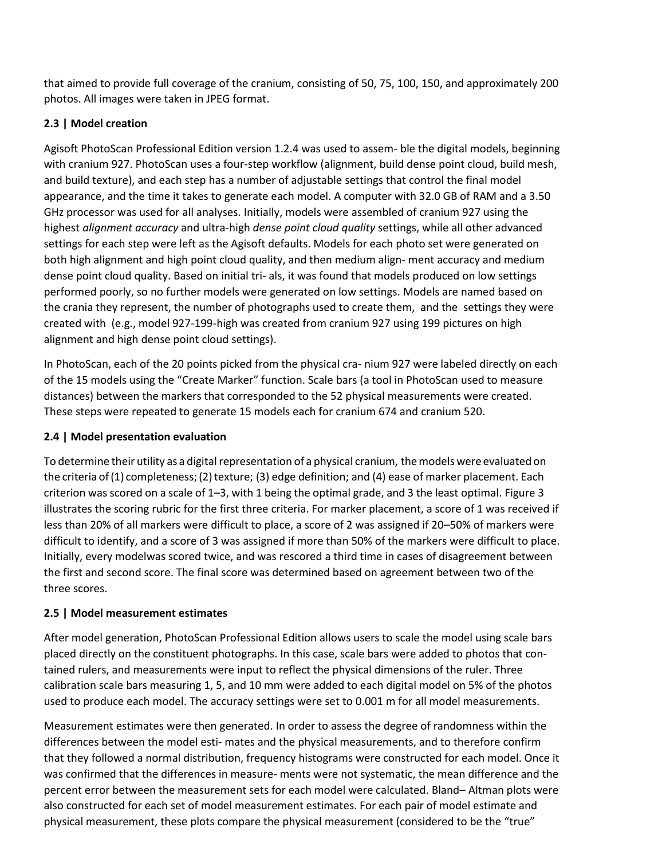that aimed to provide full coverage of the cranium, consisting of 50, 75, 100, 150, and approximately 200 photos. All images were taken in JPEG format.

# **2.3 | Model creation**

Agisoft PhotoScan Professional Edition version 1.2.4 was used to assem- ble the digital models, beginning with cranium 927. PhotoScan uses a four-step workflow (alignment, build dense point cloud, build mesh, and build texture), and each step has a number of adjustable settings that control the final model appearance, and the time it takes to generate each model. A computer with 32.0 GB of RAM and a 3.50 GHz processor was used for all analyses. Initially, models were assembled of cranium 927 using the highest *alignment accuracy* and ultra-high *dense point cloud quality* settings, while all other advanced settings for each step were left as the Agisoft defaults. Models for each photo set were generated on both high alignment and high point cloud quality, and then medium align- ment accuracy and medium dense point cloud quality. Based on initial tri- als, it was found that models produced on low settings performed poorly, so no further models were generated on low settings. Models are named based on the crania they represent, the number of photographs used to create them, and the settings they were created with (e.g., model 927-199-high was created from cranium 927 using 199 pictures on high alignment and high dense point cloud settings).

In PhotoScan, each of the 20 points picked from the physical cra- nium 927 were labeled directly on each of the 15 models using the "Create Marker" function. Scale bars (a tool in PhotoScan used to measure distances) between the markers that corresponded to the 52 physical measurements were created. These steps were repeated to generate 15 models each for cranium 674 and cranium 520.

# **2.4 | Model presentation evaluation**

To determine their utility as a digital representation of a physical cranium, the models were evaluated on the criteria of  $(1)$  completeness;  $(2)$  texture;  $(3)$  edge definition; and  $(4)$  ease of marker placement. Each criterion was scored on a scale of 1–3, with 1 being the optimal grade, and 3 the least optimal. Figure 3 illustrates the scoring rubric for the first three criteria. For marker placement, a score of 1 was received if less than 20% of all markers were difficult to place, a score of 2 was assigned if 20–50% of markers were difficult to identify, and a score of 3 was assigned if more than 50% of the markers were difficult to place. Initially, every modelwas scored twice, and was rescored a third time in cases of disagreement between the first and second score. The final score was determined based on agreement between two of the three scores.

# **2.5 | Model measurement estimates**

After model generation, PhotoScan Professional Edition allows users to scale the model using scale bars placed directly on the constituent photographs. In this case, scale bars were added to photos that contained rulers, and measurements were input to reflect the physical dimensions of the ruler. Three calibration scale bars measuring 1, 5, and 10 mm were added to each digital model on 5% of the photos used to produce each model. The accuracy settings were set to 0.001 m for all model measurements.

Measurement estimates were then generated. In order to assess the degree of randomness within the differences between the model esti- mates and the physical measurements, and to therefore confirm that they followed a normal distribution, frequency histograms were constructed for each model. Once it was confirmed that the differences in measure- ments were not systematic, the mean difference and the percent error between the measurement sets for each model were calculated. Bland– Altman plots were also constructed for each set of model measurement estimates. For each pair of model estimate and physical measurement, these plots compare the physical measurement (considered to be the "true"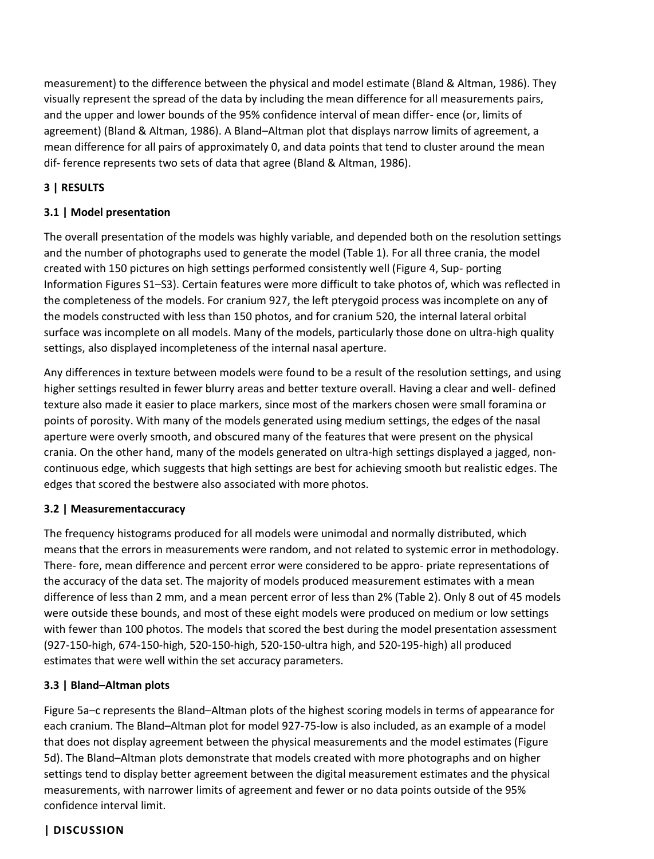measurement) to the difference between the physical and model estimate (Bland & Altman, 1986). They visually represent the spread of the data by including the mean difference for all measurements pairs, and the upper and lower bounds of the 95% confidence interval of mean differ- ence (or, limits of agreement) (Bland & Altman, 1986). A Bland–Altman plot that displays narrow limits of agreement, a mean difference for all pairs of approximately 0, and data points that tend to cluster around the mean dif- ference represents two sets of data that agree (Bland & Altman, 1986).

# **3 | RESULTS**

# **3.1 | Model presentation**

The overall presentation of the models was highly variable, and depended both on the resolution settings and the number of photographs used to generate the model (Table 1). For all three crania, the model created with 150 pictures on high settings performed consistently well (Figure 4, Sup- porting Information Figures S1–S3). Certain features were more difficult to take photos of, which was reflected in the completeness of the models. For cranium 927, the left pterygoid process was incomplete on any of the models constructed with less than 150 photos, and for cranium 520, the internal lateral orbital surface was incomplete on all models. Many of the models, particularly those done on ultra-high quality settings, also displayed incompleteness of the internal nasal aperture.

Any differences in texture between models were found to be a result of the resolution settings, and using higher settings resulted in fewer blurry areas and better texture overall. Having a clear and well- defined texture also made it easier to place markers, since most of the markers chosen were small foramina or points of porosity. With many of the models generated using medium settings, the edges of the nasal aperture were overly smooth, and obscured many of the features that were present on the physical crania. On the other hand, many of the models generated on ultra-high settings displayed a jagged, noncontinuous edge, which suggests that high settings are best for achieving smooth but realistic edges. The edges that scored the bestwere also associated with more photos.

### **3.2 | Measurementaccuracy**

The frequency histograms produced for all models were unimodal and normally distributed, which means that the errors in measurements were random, and not related to systemic error in methodology. There- fore, mean difference and percent error were considered to be appro- priate representations of the accuracy of the data set. The majority of models produced measurement estimates with a mean difference of less than 2 mm, and a mean percent error of less than 2% (Table 2). Only 8 out of 45 models were outside these bounds, and most of these eight models were produced on medium or low settings with fewer than 100 photos. The models that scored the best during the model presentation assessment (927-150-high, 674-150-high, 520-150-high, 520-150-ultra high, and 520-195-high) all produced estimates that were well within the set accuracy parameters.

### **3.3 | Bland–Altman plots**

Figure 5a–c represents the Bland–Altman plots of the highest scoring models in terms of appearance for each cranium. The Bland–Altman plot for model 927-75-low is also included, as an example of a model that does not display agreement between the physical measurements and the model estimates (Figure 5d). The Bland–Altman plots demonstrate that models created with more photographs and on higher settings tend to display better agreement between the digital measurement estimates and the physical measurements, with narrower limits of agreement and fewer or no data points outside of the 95% confidence interval limit.

### **| DISCUSSION**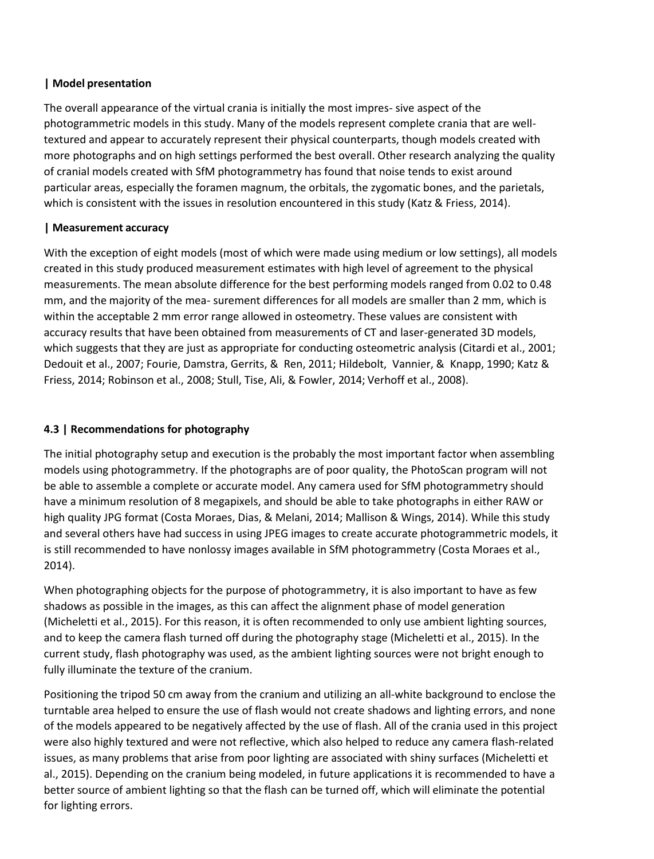### **| Model presentation**

The overall appearance of the virtual crania is initially the most impres- sive aspect of the photogrammetric models in this study. Many of the models represent complete crania that are welltextured and appear to accurately represent their physical counterparts, though models created with more photographs and on high settings performed the best overall. Other research analyzing the quality of cranial models created with SfM photogrammetry has found that noise tends to exist around particular areas, especially the foramen magnum, the orbitals, the zygomatic bones, and the parietals, which is consistent with the issues in resolution encountered in this study (Katz & Friess, 2014).

# **| Measurement accuracy**

With the exception of eight models (most of which were made using medium or low settings), all models created in this study produced measurement estimates with high level of agreement to the physical measurements. The mean absolute difference for the best performing models ranged from 0.02 to 0.48 mm, and the majority of the mea- surement differences for all models are smaller than 2 mm, which is within the acceptable 2 mm error range allowed in osteometry. These values are consistent with accuracy results that have been obtained from measurements of CT and laser-generated 3D models, which suggests that they are just as appropriate for conducting osteometric analysis (Citardi et al., 2001; Dedouit et al., 2007; Fourie, Damstra, Gerrits, & Ren, 2011; Hildebolt, Vannier, & Knapp, 1990; Katz & Friess, 2014; Robinson et al., 2008; Stull, Tise, Ali, & Fowler, 2014; Verhoff et al., 2008).

# **4.3 | Recommendations for photography**

The initial photography setup and execution is the probably the most important factor when assembling models using photogrammetry. If the photographs are of poor quality, the PhotoScan program will not be able to assemble a complete or accurate model. Any camera used for SfM photogrammetry should have a minimum resolution of 8 megapixels, and should be able to take photographs in either RAW or high quality JPG format (Costa Moraes, Dias, & Melani, 2014; Mallison & Wings, 2014). While this study and several others have had success in using JPEG images to create accurate photogrammetric models, it is still recommended to have nonlossy images available in SfM photogrammetry (Costa Moraes et al., 2014).

When photographing objects for the purpose of photogrammetry, it is also important to have as few shadows as possible in the images, as this can affect the alignment phase of model generation (Micheletti et al., 2015). For this reason, it is often recommended to only use ambient lighting sources, and to keep the camera flash turned off during the photography stage (Micheletti et al., 2015). In the current study, flash photography was used, as the ambient lighting sources were not bright enough to fully illuminate the texture of the cranium.

Positioning the tripod 50 cm away from the cranium and utilizing an all-white background to enclose the turntable area helped to ensure the use of flash would not create shadows and lighting errors, and none of the models appeared to be negatively affected by the use of flash. All of the crania used in this project were also highly textured and were not reflective, which also helped to reduce any camera flash-related issues, as many problems that arise from poor lighting are associated with shiny surfaces (Micheletti et al., 2015). Depending on the cranium being modeled, in future applications it is recommended to have a better source of ambient lighting so that the flash can be turned off, which will eliminate the potential for lighting errors.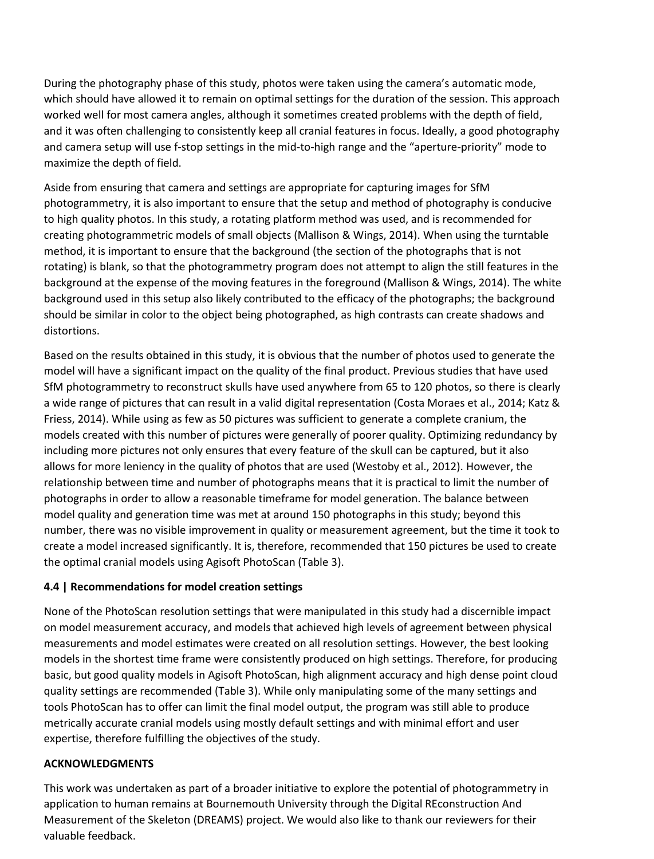During the photography phase of this study, photos were taken using the camera's automatic mode, which should have allowed it to remain on optimal settings for the duration of the session. This approach worked well for most camera angles, although it sometimes created problems with the depth of field, and it was often challenging to consistently keep all cranial features in focus. Ideally, a good photography and camera setup will use f-stop settings in the mid-to-high range and the "aperture-priority" mode to maximize the depth of field.

Aside from ensuring that camera and settings are appropriate for capturing images for SfM photogrammetry, it is also important to ensure that the setup and method of photography is conducive to high quality photos. In this study, a rotating platform method was used, and is recommended for creating photogrammetric models of small objects (Mallison & Wings, 2014). When using the turntable method, it is important to ensure that the background (the section of the photographs that is not rotating) is blank, so that the photogrammetry program does not attempt to align the still features in the background at the expense of the moving features in the foreground (Mallison & Wings, 2014). The white background used in this setup also likely contributed to the efficacy of the photographs; the background should be similar in color to the object being photographed, as high contrasts can create shadows and distortions.

Based on the results obtained in this study, it is obvious that the number of photos used to generate the model will have a significant impact on the quality of the final product. Previous studies that have used SfM photogrammetry to reconstruct skulls have used anywhere from 65 to 120 photos, so there is clearly a wide range of pictures that can result in a valid digital representation (Costa Moraes et al., 2014; Katz & Friess, 2014). While using as few as 50 pictures was sufficient to generate a complete cranium, the models created with this number of pictures were generally of poorer quality. Optimizing redundancy by including more pictures not only ensures that every feature of the skull can be captured, but it also allows for more leniency in the quality of photos that are used (Westoby et al., 2012). However, the relationship between time and number of photographs means that it is practical to limit the number of photographs in order to allow a reasonable timeframe for model generation. The balance between model quality and generation time was met at around 150 photographs in this study; beyond this number, there was no visible improvement in quality or measurement agreement, but the time it took to create a model increased significantly. It is, therefore, recommended that 150 pictures be used to create the optimal cranial models using Agisoft PhotoScan (Table 3).

### **4.4 | Recommendations for model creation settings**

None of the PhotoScan resolution settings that were manipulated in this study had a discernible impact on model measurement accuracy, and models that achieved high levels of agreement between physical measurements and model estimates were created on all resolution settings. However, the best looking models in the shortest time frame were consistently produced on high settings. Therefore, for producing basic, but good quality models in Agisoft PhotoScan, high alignment accuracy and high dense point cloud quality settings are recommended (Table 3). While only manipulating some of the many settings and tools PhotoScan has to offer can limit the final model output, the program was still able to produce metrically accurate cranial models using mostly default settings and with minimal effort and user expertise, therefore fulfilling the objectives of the study.

### **ACKNOWLEDGMENTS**

This work was undertaken as part of a broader initiative to explore the potential of photogrammetry in application to human remains at Bournemouth University through the Digital REconstruction And Measurement of the Skeleton (DREAMS) project. We would also like to thank our reviewers for their valuable feedback.